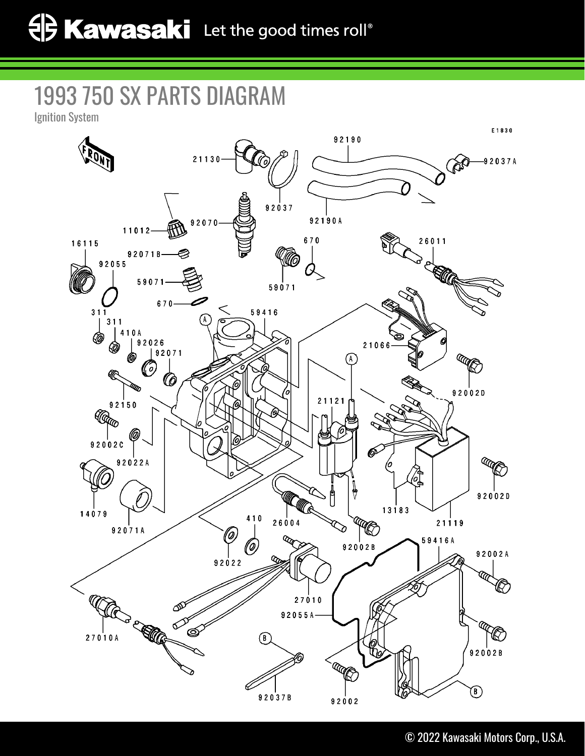## 1993 750 SX PARTS DIAGRAM

Ignition System

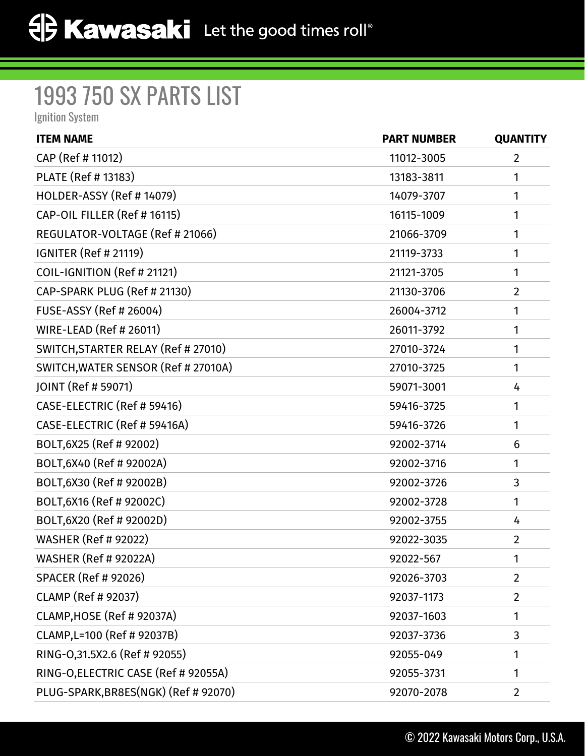## 1993 750 SX PARTS LIST

Ignition System

| <b>ITEM NAME</b>                     | <b>PART NUMBER</b> | <b>QUANTITY</b> |
|--------------------------------------|--------------------|-----------------|
| CAP (Ref # 11012)                    | 11012-3005         | $\overline{2}$  |
| PLATE (Ref # 13183)                  | 13183-3811         | 1               |
| HOLDER-ASSY (Ref #14079)             | 14079-3707         | 1               |
| CAP-OIL FILLER (Ref # 16115)         | 16115-1009         | 1               |
| REGULATOR-VOLTAGE (Ref # 21066)      | 21066-3709         | 1               |
| <b>IGNITER (Ref # 21119)</b>         | 21119-3733         | 1               |
| COIL-IGNITION (Ref # 21121)          | 21121-3705         | 1               |
| CAP-SPARK PLUG (Ref # 21130)         | 21130-3706         | $\overline{2}$  |
| <b>FUSE-ASSY (Ref # 26004)</b>       | 26004-3712         | 1               |
| <b>WIRE-LEAD (Ref # 26011)</b>       | 26011-3792         | 1               |
| SWITCH, STARTER RELAY (Ref # 27010)  | 27010-3724         | 1               |
| SWITCH, WATER SENSOR (Ref # 27010A)  | 27010-3725         | 1               |
| JOINT (Ref # 59071)                  | 59071-3001         | 4               |
| CASE-ELECTRIC (Ref # 59416)          | 59416-3725         | 1               |
| CASE-ELECTRIC (Ref # 59416A)         | 59416-3726         | 1               |
| BOLT, 6X25 (Ref # 92002)             | 92002-3714         | 6               |
| BOLT, 6X40 (Ref # 92002A)            | 92002-3716         | 1               |
| BOLT, 6X30 (Ref # 92002B)            | 92002-3726         | 3               |
| BOLT, 6X16 (Ref # 92002C)            | 92002-3728         | 1               |
| BOLT, 6X20 (Ref # 92002D)            | 92002-3755         | 4               |
| <b>WASHER (Ref # 92022)</b>          | 92022-3035         | $\overline{2}$  |
| <b>WASHER (Ref # 92022A)</b>         | 92022-567          | 1               |
| <b>SPACER (Ref # 92026)</b>          | 92026-3703         | $\overline{2}$  |
| <b>CLAMP (Ref # 92037)</b>           | 92037-1173         | $\overline{2}$  |
| CLAMP, HOSE (Ref # 92037A)           | 92037-1603         | 1               |
| CLAMP, L=100 (Ref # 92037B)          | 92037-3736         | 3               |
| RING-0,31.5X2.6 (Ref # 92055)        | 92055-049          | 1               |
| RING-O, ELECTRIC CASE (Ref # 92055A) | 92055-3731         | 1               |
| PLUG-SPARK, BR8ES(NGK) (Ref # 92070) | 92070-2078         | 2               |